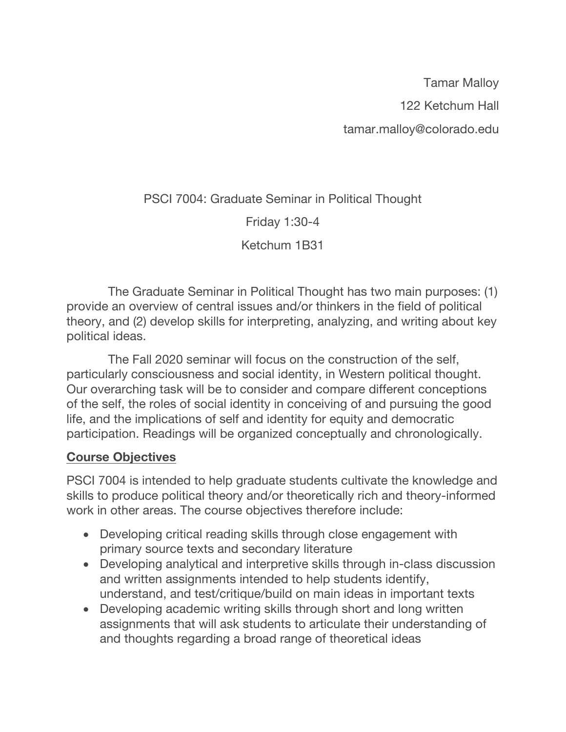Tamar Malloy 122 Ketchum Hall tamar.malloy@colorado.edu

PSCI 7004: Graduate Seminar in Political Thought

Friday 1:30-4

Ketchum 1B31

 The Graduate Seminar in Political Thought has two main purposes: (1) provide an overview of central issues and/or thinkers in the field of political theory, and (2) develop skills for interpreting, analyzing, and writing about key political ideas.

 The Fall 2020 seminar will focus on the construction of the self, particularly consciousness and social identity, in Western political thought. Our overarching task will be to consider and compare different conceptions of the self, the roles of social identity in conceiving of and pursuing the good life, and the implications of self and identity for equity and democratic participation. Readings will be organized conceptually and chronologically.

## **Course Objectives**

PSCI 7004 is intended to help graduate students cultivate the knowledge and skills to produce political theory and/or theoretically rich and theory-informed work in other areas. The course objectives therefore include:

- Developing critical reading skills through close engagement with primary source texts and secondary literature
- Developing analytical and interpretive skills through in-class discussion and written assignments intended to help students identify, understand, and test/critique/build on main ideas in important texts
- Developing academic writing skills through short and long written assignments that will ask students to articulate their understanding of and thoughts regarding a broad range of theoretical ideas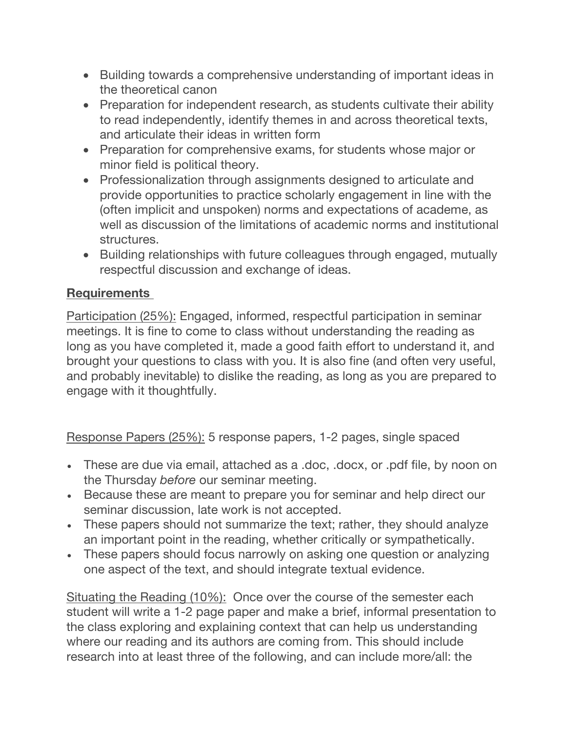- Building towards a comprehensive understanding of important ideas in the theoretical canon
- Preparation for independent research, as students cultivate their ability to read independently, identify themes in and across theoretical texts, and articulate their ideas in written form
- Preparation for comprehensive exams, for students whose major or minor field is political theory.
- Professionalization through assignments designed to articulate and provide opportunities to practice scholarly engagement in line with the (often implicit and unspoken) norms and expectations of academe, as well as discussion of the limitations of academic norms and institutional structures.
- Building relationships with future colleagues through engaged, mutually respectful discussion and exchange of ideas.

# **Requirements**

Participation (25%): Engaged, informed, respectful participation in seminar meetings. It is fine to come to class without understanding the reading as long as you have completed it, made a good faith effort to understand it, and brought your questions to class with you. It is also fine (and often very useful, and probably inevitable) to dislike the reading, as long as you are prepared to engage with it thoughtfully.

Response Papers (25%): 5 response papers, 1-2 pages, single spaced

- These are due via email, attached as a .doc, .docx, or .pdf file, by noon on the Thursday *before* our seminar meeting.
- Because these are meant to prepare you for seminar and help direct our seminar discussion, late work is not accepted.
- These papers should not summarize the text; rather, they should analyze an important point in the reading, whether critically or sympathetically.
- These papers should focus narrowly on asking one question or analyzing one aspect of the text, and should integrate textual evidence.

Situating the Reading (10%): Once over the course of the semester each student will write a 1-2 page paper and make a brief, informal presentation to the class exploring and explaining context that can help us understanding where our reading and its authors are coming from. This should include research into at least three of the following, and can include more/all: the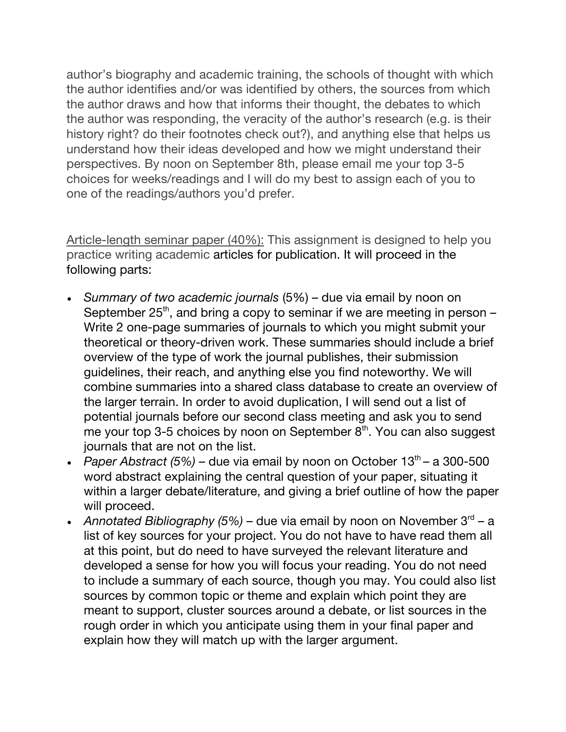author's biography and academic training, the schools of thought with which the author identifies and/or was identified by others, the sources from which the author draws and how that informs their thought, the debates to which the author was responding, the veracity of the author's research (e.g. is their history right? do their footnotes check out?), and anything else that helps us understand how their ideas developed and how we might understand their perspectives. By noon on September 8th, please email me your top 3-5 choices for weeks/readings and I will do my best to assign each of you to one of the readings/authors you'd prefer.

Article-length seminar paper (40%): This assignment is designed to help you practice writing academic articles for publication. It will proceed in the following parts:

- *Summary of two academic journals* (5%) due via email by noon on September  $25<sup>th</sup>$ , and bring a copy to seminar if we are meeting in person – Write 2 one-page summaries of journals to which you might submit your theoretical or theory-driven work. These summaries should include a brief overview of the type of work the journal publishes, their submission guidelines, their reach, and anything else you find noteworthy. We will combine summaries into a shared class database to create an overview of the larger terrain. In order to avoid duplication, I will send out a list of potential journals before our second class meeting and ask you to send me your top 3-5 choices by noon on September  $8<sup>th</sup>$ . You can also suggest journals that are not on the list.
- *Paper Abstract (5%)* due via email by noon on October 13<sup>th</sup> a 300-500 word abstract explaining the central question of your paper, situating it within a larger debate/literature, and giving a brief outline of how the paper will proceed.
- *Annotated Bibliography (5%)* due via email by noon on November  $3^{rd}$  a list of key sources for your project. You do not have to have read them all at this point, but do need to have surveyed the relevant literature and developed a sense for how you will focus your reading. You do not need to include a summary of each source, though you may. You could also list sources by common topic or theme and explain which point they are meant to support, cluster sources around a debate, or list sources in the rough order in which you anticipate using them in your final paper and explain how they will match up with the larger argument.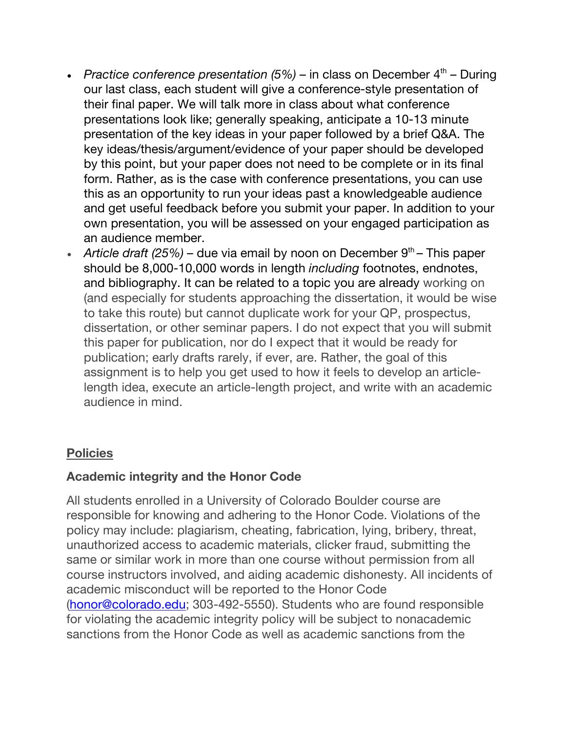- *Practice conference presentation (5%)* in class on December  $4<sup>th</sup>$  During our last class, each student will give a conference-style presentation of their final paper. We will talk more in class about what conference presentations look like; generally speaking, anticipate a 10-13 minute presentation of the key ideas in your paper followed by a brief Q&A. The key ideas/thesis/argument/evidence of your paper should be developed by this point, but your paper does not need to be complete or in its final form. Rather, as is the case with conference presentations, you can use this as an opportunity to run your ideas past a knowledgeable audience and get useful feedback before you submit your paper. In addition to your own presentation, you will be assessed on your engaged participation as an audience member.
- *Article draft* (25%) due via email by noon on December 9<sup>th</sup> This paper should be 8,000-10,000 words in length *including* footnotes, endnotes, and bibliography. It can be related to a topic you are already working on (and especially for students approaching the dissertation, it would be wise to take this route) but cannot duplicate work for your QP, prospectus, dissertation, or other seminar papers. I do not expect that you will submit this paper for publication, nor do I expect that it would be ready for publication; early drafts rarely, if ever, are. Rather, the goal of this assignment is to help you get used to how it feels to develop an articlelength idea, execute an article-length project, and write with an academic audience in mind.

# **Policies**

# **Academic integrity and the Honor Code**

All students enrolled in a University of Colorado Boulder course are responsible for knowing and adhering to the Honor Code. Violations of the policy may include: plagiarism, cheating, fabrication, lying, bribery, threat, unauthorized access to academic materials, clicker fraud, submitting the same or similar work in more than one course without permission from all course instructors involved, and aiding academic dishonesty. All incidents of academic misconduct will be reported to the Honor Code (honor@colorado.edu; 303-492-5550). Students who are found responsible for violating the academic integrity policy will be subject to nonacademic sanctions from the Honor Code as well as academic sanctions from the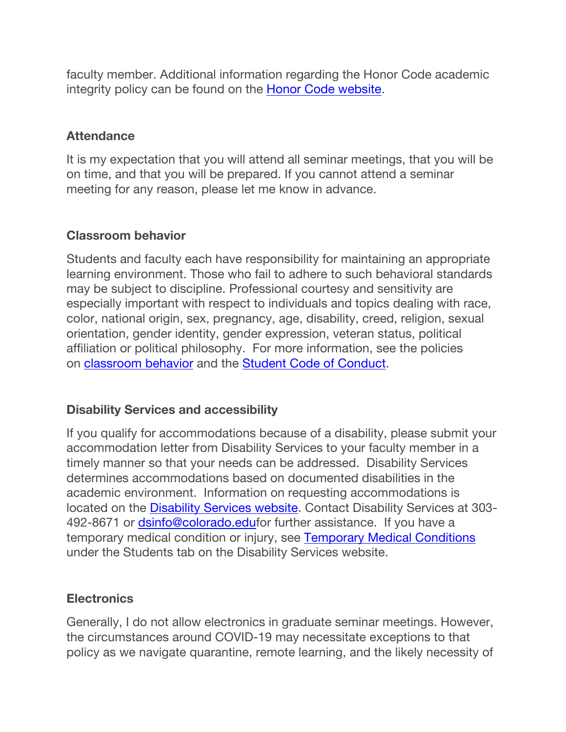faculty member. Additional information regarding the Honor Code academic integrity policy can be found on the Honor Code website.

### **Attendance**

It is my expectation that you will attend all seminar meetings, that you will be on time, and that you will be prepared. If you cannot attend a seminar meeting for any reason, please let me know in advance.

#### **Classroom behavior**

Students and faculty each have responsibility for maintaining an appropriate learning environment. Those who fail to adhere to such behavioral standards may be subject to discipline. Professional courtesy and sensitivity are especially important with respect to individuals and topics dealing with race, color, national origin, sex, pregnancy, age, disability, creed, religion, sexual orientation, gender identity, gender expression, veteran status, political affiliation or political philosophy. For more information, see the policies on classroom behavior and the Student Code of Conduct.

#### **Disability Services and accessibility**

If you qualify for accommodations because of a disability, please submit your accommodation letter from Disability Services to your faculty member in a timely manner so that your needs can be addressed. Disability Services determines accommodations based on documented disabilities in the academic environment. Information on requesting accommodations is located on the Disability Services website. Contact Disability Services at 303- 492-8671 or dsinfo@colorado.edufor further assistance. If you have a temporary medical condition or injury, see Temporary Medical Conditions under the Students tab on the Disability Services website.

#### **Electronics**

Generally, I do not allow electronics in graduate seminar meetings. However, the circumstances around COVID-19 may necessitate exceptions to that policy as we navigate quarantine, remote learning, and the likely necessity of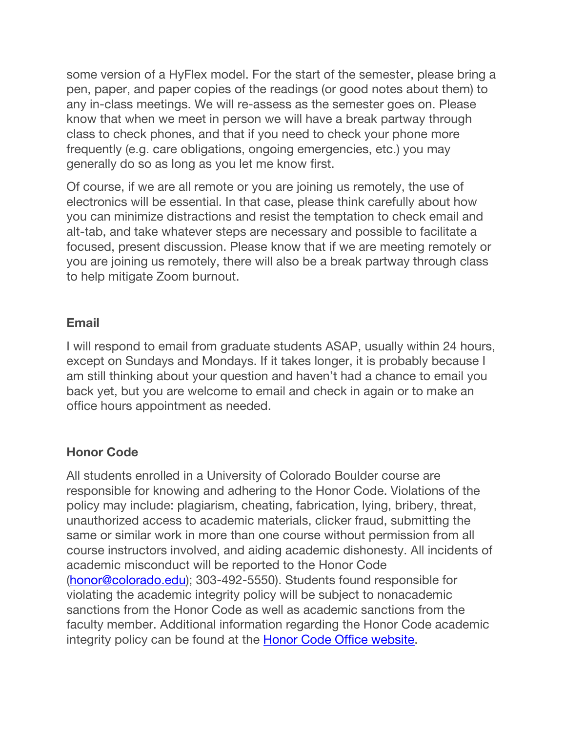some version of a HyFlex model. For the start of the semester, please bring a pen, paper, and paper copies of the readings (or good notes about them) to any in-class meetings. We will re-assess as the semester goes on. Please know that when we meet in person we will have a break partway through class to check phones, and that if you need to check your phone more frequently (e.g. care obligations, ongoing emergencies, etc.) you may generally do so as long as you let me know first.

Of course, if we are all remote or you are joining us remotely, the use of electronics will be essential. In that case, please think carefully about how you can minimize distractions and resist the temptation to check email and alt-tab, and take whatever steps are necessary and possible to facilitate a focused, present discussion. Please know that if we are meeting remotely or you are joining us remotely, there will also be a break partway through class to help mitigate Zoom burnout.

#### **Email**

I will respond to email from graduate students ASAP, usually within 24 hours, except on Sundays and Mondays. If it takes longer, it is probably because I am still thinking about your question and haven't had a chance to email you back yet, but you are welcome to email and check in again or to make an office hours appointment as needed.

#### **Honor Code**

All students enrolled in a University of Colorado Boulder course are responsible for knowing and adhering to the Honor Code. Violations of the policy may include: plagiarism, cheating, fabrication, lying, bribery, threat, unauthorized access to academic materials, clicker fraud, submitting the same or similar work in more than one course without permission from all course instructors involved, and aiding academic dishonesty. All incidents of academic misconduct will be reported to the Honor Code (honor@colorado.edu); 303-492-5550). Students found responsible for violating the academic integrity policy will be subject to nonacademic sanctions from the Honor Code as well as academic sanctions from the faculty member. Additional information regarding the Honor Code academic integrity policy can be found at the **Honor Code Office website**.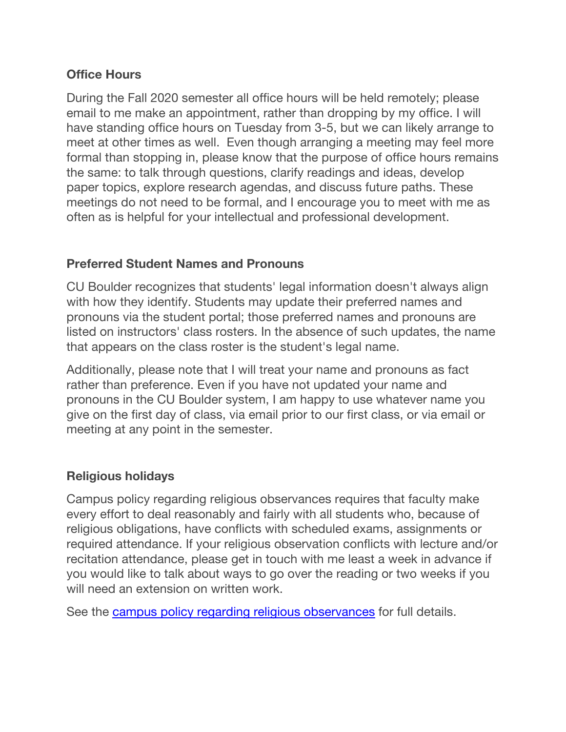## **Office Hours**

During the Fall 2020 semester all office hours will be held remotely; please email to me make an appointment, rather than dropping by my office. I will have standing office hours on Tuesday from 3-5, but we can likely arrange to meet at other times as well. Even though arranging a meeting may feel more formal than stopping in, please know that the purpose of office hours remains the same: to talk through questions, clarify readings and ideas, develop paper topics, explore research agendas, and discuss future paths. These meetings do not need to be formal, and I encourage you to meet with me as often as is helpful for your intellectual and professional development.

## **Preferred Student Names and Pronouns**

CU Boulder recognizes that students' legal information doesn't always align with how they identify. Students may update their preferred names and pronouns via the student portal; those preferred names and pronouns are listed on instructors' class rosters. In the absence of such updates, the name that appears on the class roster is the student's legal name.

Additionally, please note that I will treat your name and pronouns as fact rather than preference. Even if you have not updated your name and pronouns in the CU Boulder system, I am happy to use whatever name you give on the first day of class, via email prior to our first class, or via email or meeting at any point in the semester.

# **Religious holidays**

Campus policy regarding religious observances requires that faculty make every effort to deal reasonably and fairly with all students who, because of religious obligations, have conflicts with scheduled exams, assignments or required attendance. If your religious observation conflicts with lecture and/or recitation attendance, please get in touch with me least a week in advance if you would like to talk about ways to go over the reading or two weeks if you will need an extension on written work.

See the campus policy regarding religious observances for full details.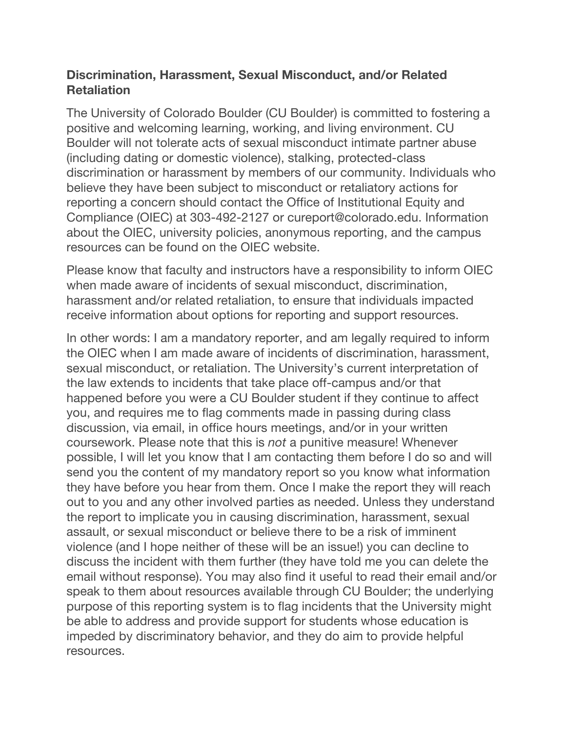## **Discrimination, Harassment, Sexual Misconduct, and/or Related Retaliation**

The University of Colorado Boulder (CU Boulder) is committed to fostering a positive and welcoming learning, working, and living environment. CU Boulder will not tolerate acts of sexual misconduct intimate partner abuse (including dating or domestic violence), stalking, protected-class discrimination or harassment by members of our community. Individuals who believe they have been subject to misconduct or retaliatory actions for reporting a concern should contact the Office of Institutional Equity and Compliance (OIEC) at 303-492-2127 or cureport@colorado.edu. Information about the OIEC, university policies, anonymous reporting, and the campus resources can be found on the OIEC website.

Please know that faculty and instructors have a responsibility to inform OIEC when made aware of incidents of sexual misconduct, discrimination, harassment and/or related retaliation, to ensure that individuals impacted receive information about options for reporting and support resources.

In other words: I am a mandatory reporter, and am legally required to inform the OIEC when I am made aware of incidents of discrimination, harassment, sexual misconduct, or retaliation. The University's current interpretation of the law extends to incidents that take place off-campus and/or that happened before you were a CU Boulder student if they continue to affect you, and requires me to flag comments made in passing during class discussion, via email, in office hours meetings, and/or in your written coursework. Please note that this is *not* a punitive measure! Whenever possible, I will let you know that I am contacting them before I do so and will send you the content of my mandatory report so you know what information they have before you hear from them. Once I make the report they will reach out to you and any other involved parties as needed. Unless they understand the report to implicate you in causing discrimination, harassment, sexual assault, or sexual misconduct or believe there to be a risk of imminent violence (and I hope neither of these will be an issue!) you can decline to discuss the incident with them further (they have told me you can delete the email without response). You may also find it useful to read their email and/or speak to them about resources available through CU Boulder; the underlying purpose of this reporting system is to flag incidents that the University might be able to address and provide support for students whose education is impeded by discriminatory behavior, and they do aim to provide helpful resources.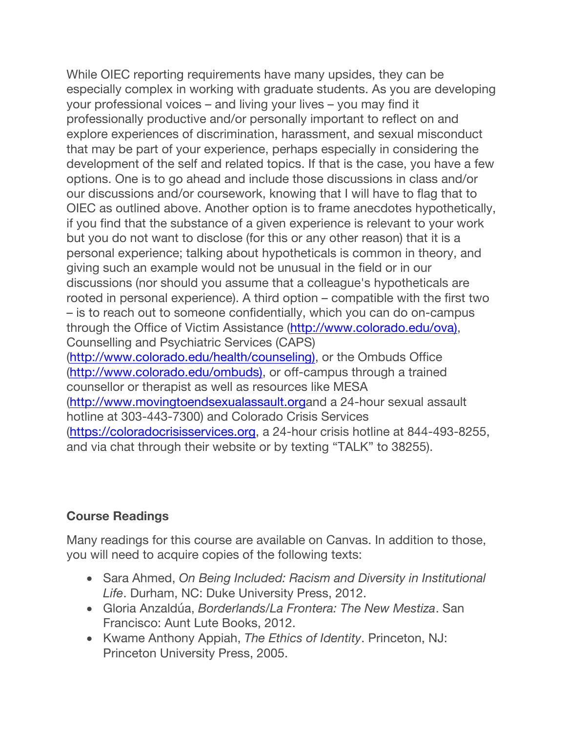While OIEC reporting requirements have many upsides, they can be especially complex in working with graduate students. As you are developing your professional voices – and living your lives – you may find it professionally productive and/or personally important to reflect on and explore experiences of discrimination, harassment, and sexual misconduct that may be part of your experience, perhaps especially in considering the development of the self and related topics. If that is the case, you have a few options. One is to go ahead and include those discussions in class and/or our discussions and/or coursework, knowing that I will have to flag that to OIEC as outlined above. Another option is to frame anecdotes hypothetically, if you find that the substance of a given experience is relevant to your work but you do not want to disclose (for this or any other reason) that it is a personal experience; talking about hypotheticals is common in theory, and giving such an example would not be unusual in the field or in our discussions (nor should you assume that a colleague's hypotheticals are rooted in personal experience). A third option – compatible with the first two – is to reach out to someone confidentially, which you can do on-campus through the Office of Victim Assistance (http://www.colorado.edu/ova), Counselling and Psychiatric Services (CAPS) (http://www.colorado.edu/health/counseling), or the Ombuds Office (http://www.colorado.edu/ombuds), or off-campus through a trained counsellor or therapist as well as resources like MESA (http://www.movingtoendsexualassault.organd a 24-hour sexual assault hotline at 303-443-7300) and Colorado Crisis Services (https://coloradocrisisservices.org, a 24-hour crisis hotline at 844-493-8255, and via chat through their website or by texting "TALK" to 38255).

## **Course Readings**

Many readings for this course are available on Canvas. In addition to those, you will need to acquire copies of the following texts:

- Sara Ahmed, *On Being Included: Racism and Diversity in Institutional Life*. Durham, NC: Duke University Press, 2012.
- Gloria Anzaldúa, *Borderlands/La Frontera: The New Mestiza*. San Francisco: Aunt Lute Books, 2012.
- Kwame Anthony Appiah, *The Ethics of Identity*. Princeton, NJ: Princeton University Press, 2005.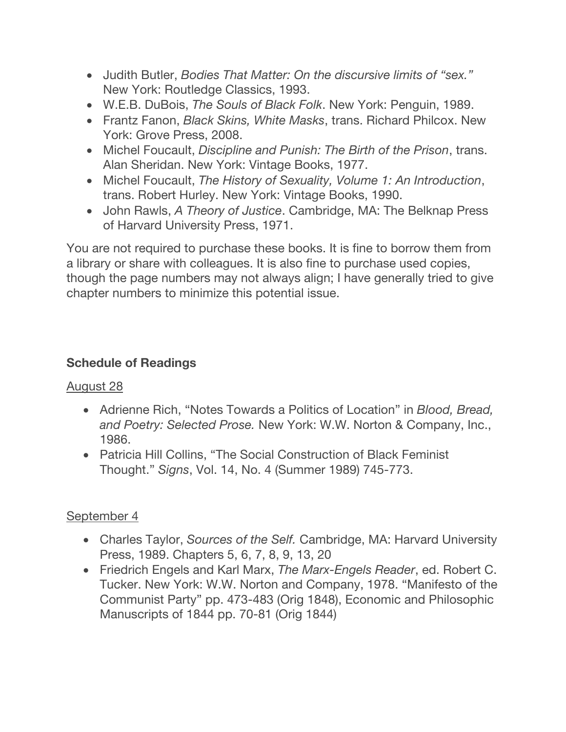- Judith Butler, *Bodies That Matter: On the discursive limits of "sex."* New York: Routledge Classics, 1993.
- W.E.B. DuBois, *The Souls of Black Folk*. New York: Penguin, 1989.
- Frantz Fanon, *Black Skins, White Masks*, trans. Richard Philcox. New York: Grove Press, 2008.
- Michel Foucault, *Discipline and Punish: The Birth of the Prison*, trans. Alan Sheridan. New York: Vintage Books, 1977.
- Michel Foucault, *The History of Sexuality, Volume 1: An Introduction*, trans. Robert Hurley. New York: Vintage Books, 1990.
- John Rawls, *A Theory of Justice*. Cambridge, MA: The Belknap Press of Harvard University Press, 1971.

You are not required to purchase these books. It is fine to borrow them from a library or share with colleagues. It is also fine to purchase used copies, though the page numbers may not always align; I have generally tried to give chapter numbers to minimize this potential issue.

# **Schedule of Readings**

# August 28

- Adrienne Rich, "Notes Towards a Politics of Location" in *Blood, Bread, and Poetry: Selected Prose.* New York: W.W. Norton & Company, Inc., 1986.
- Patricia Hill Collins, "The Social Construction of Black Feminist Thought." *Signs*, Vol. 14, No. 4 (Summer 1989) 745-773.

# September 4

- Charles Taylor, *Sources of the Self.* Cambridge, MA: Harvard University Press, 1989. Chapters 5, 6, 7, 8, 9, 13, 20
- Friedrich Engels and Karl Marx, *The Marx-Engels Reader*, ed. Robert C. Tucker. New York: W.W. Norton and Company, 1978. "Manifesto of the Communist Party" pp. 473-483 (Orig 1848), Economic and Philosophic Manuscripts of 1844 pp. 70-81 (Orig 1844)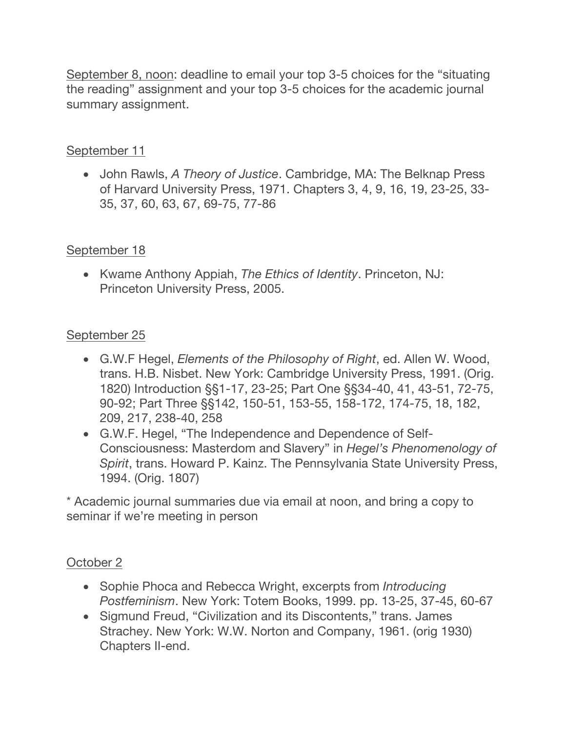September 8, noon: deadline to email your top 3-5 choices for the "situating the reading" assignment and your top 3-5 choices for the academic journal summary assignment.

## September 11

• John Rawls, *A Theory of Justice*. Cambridge, MA: The Belknap Press of Harvard University Press, 1971. Chapters 3, 4, 9, 16, 19, 23-25, 33- 35, 37, 60, 63, 67, 69-75, 77-86

## September 18

• Kwame Anthony Appiah, *The Ethics of Identity*. Princeton, NJ: Princeton University Press, 2005.

## September 25

- G.W.F Hegel, *Elements of the Philosophy of Right*, ed. Allen W. Wood, trans. H.B. Nisbet. New York: Cambridge University Press, 1991. (Orig. 1820) Introduction §§1-17, 23-25; Part One §§34-40, 41, 43-51, 72-75, 90-92; Part Three §§142, 150-51, 153-55, 158-172, 174-75, 18, 182, 209, 217, 238-40, 258
- G.W.F. Hegel, "The Independence and Dependence of Self-Consciousness: Masterdom and Slavery" in *Hegel's Phenomenology of Spirit*, trans. Howard P. Kainz. The Pennsylvania State University Press, 1994. (Orig. 1807)

\* Academic journal summaries due via email at noon, and bring a copy to seminar if we're meeting in person

## October 2

- Sophie Phoca and Rebecca Wright, excerpts from *Introducing Postfeminism*. New York: Totem Books, 1999. pp. 13-25, 37-45, 60-67
- Sigmund Freud, "Civilization and its Discontents," trans. James Strachey. New York: W.W. Norton and Company, 1961. (orig 1930) Chapters II-end.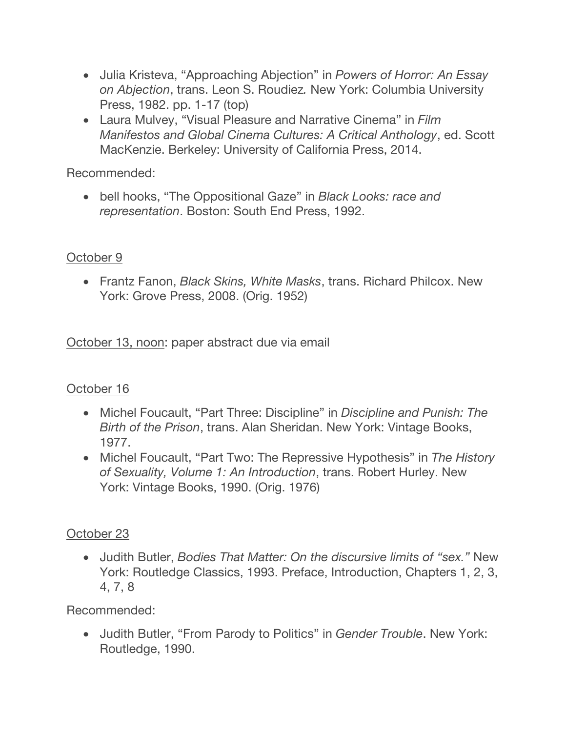- Julia Kristeva, "Approaching Abjection" in *Powers of Horror: An Essay on Abjection*, trans. Leon S. Roudiez*.* New York: Columbia University Press, 1982. pp. 1-17 (top)
- Laura Mulvey, "Visual Pleasure and Narrative Cinema" in *Film Manifestos and Global Cinema Cultures: A Critical Anthology*, ed. Scott MacKenzie. Berkeley: University of California Press, 2014.

Recommended:

• bell hooks, "The Oppositional Gaze" in *Black Looks: race and representation*. Boston: South End Press, 1992.

## October 9

• Frantz Fanon, *Black Skins, White Masks*, trans. Richard Philcox. New York: Grove Press, 2008. (Orig. 1952)

October 13, noon: paper abstract due via email

# October 16

- Michel Foucault, "Part Three: Discipline" in *Discipline and Punish: The Birth of the Prison*, trans. Alan Sheridan. New York: Vintage Books, 1977.
- Michel Foucault, "Part Two: The Repressive Hypothesis" in *The History of Sexuality, Volume 1: An Introduction*, trans. Robert Hurley. New York: Vintage Books, 1990. (Orig. 1976)

# October 23

• Judith Butler, *Bodies That Matter: On the discursive limits of "sex."* New York: Routledge Classics, 1993. Preface, Introduction, Chapters 1, 2, 3, 4, 7, 8

Recommended:

• Judith Butler, "From Parody to Politics" in *Gender Trouble*. New York: Routledge, 1990.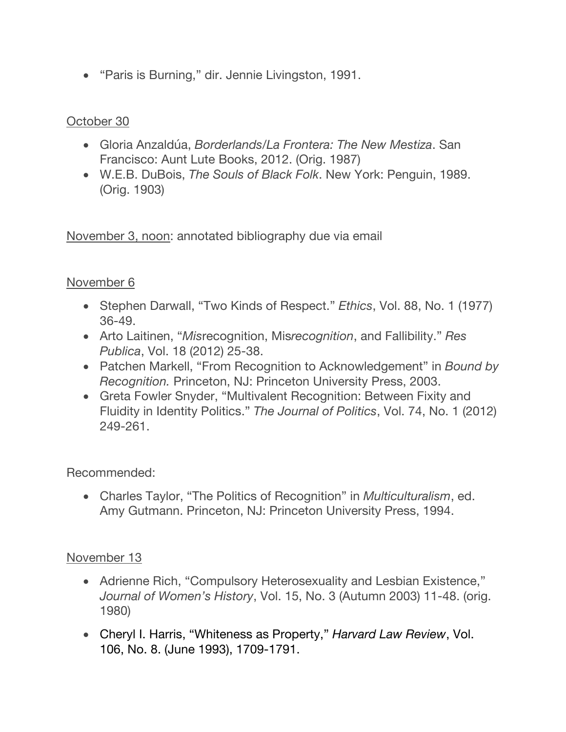• "Paris is Burning," dir. Jennie Livingston, 1991.

## October 30

- Gloria Anzaldúa, *Borderlands/La Frontera: The New Mestiza*. San Francisco: Aunt Lute Books, 2012. (Orig. 1987)
- W.E.B. DuBois, *The Souls of Black Folk*. New York: Penguin, 1989. (Orig. 1903)

November 3, noon: annotated bibliography due via email

#### November 6

- Stephen Darwall, "Two Kinds of Respect." *Ethics*, Vol. 88, No. 1 (1977) 36-49.
- Arto Laitinen, "*Mis*recognition, Mis*recognition*, and Fallibility." *Res Publica*, Vol. 18 (2012) 25-38.
- Patchen Markell, "From Recognition to Acknowledgement" in *Bound by Recognition.* Princeton, NJ: Princeton University Press, 2003.
- Greta Fowler Snyder, "Multivalent Recognition: Between Fixity and Fluidity in Identity Politics." *The Journal of Politics*, Vol. 74, No. 1 (2012) 249-261.

Recommended:

• Charles Taylor, "The Politics of Recognition" in *Multiculturalism*, ed. Amy Gutmann. Princeton, NJ: Princeton University Press, 1994.

#### November 13

- Adrienne Rich, "Compulsory Heterosexuality and Lesbian Existence," *Journal of Women's History*, Vol. 15, No. 3 (Autumn 2003) 11-48. (orig. 1980)
- Cheryl I. Harris, "Whiteness as Property," *Harvard Law Review*, Vol. 106, No. 8. (June 1993), 1709-1791.